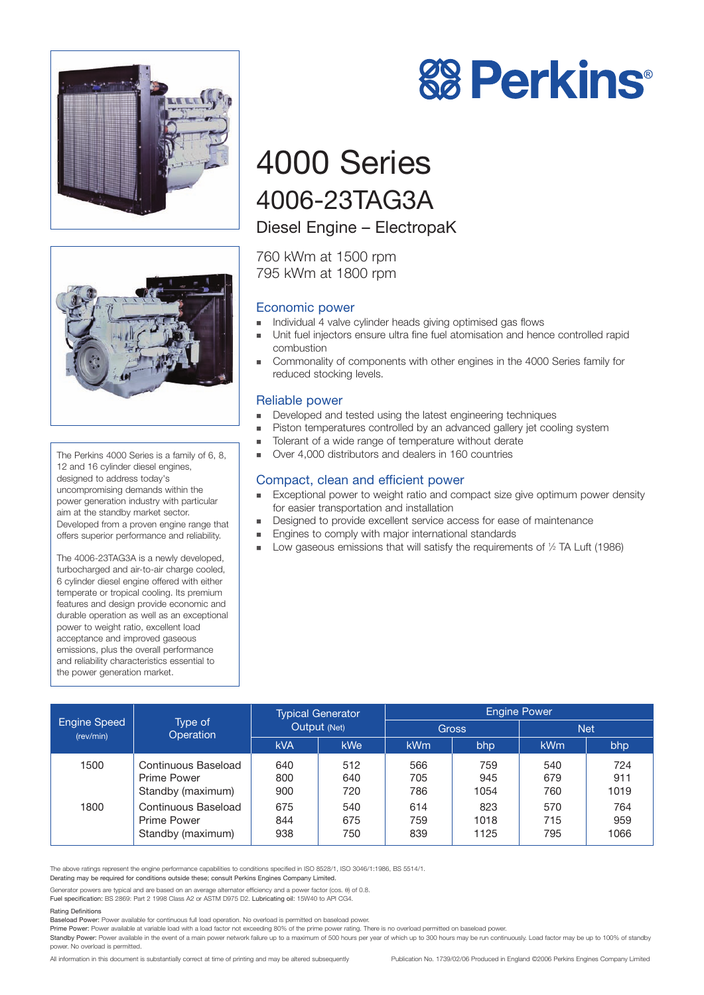



The Perkins 4000 Series is a family of 6, 8, 12 and 16 cylinder diesel engines, designed to address today's uncompromising demands within the power generation industry with particular aim at the standby market sector. Developed from a proven engine range that offers superior performance and reliability.

The 4006-23TAG3A is a newly developed, turbocharged and air-to-air charge cooled, 6 cylinder diesel engine offered with either temperate or tropical cooling. Its premium features and design provide economic and durable operation as well as an exceptional power to weight ratio, excellent load acceptance and improved gaseous emissions, plus the overall performance and reliability characteristics essential to the power generation market.



# 4000 Series 4006-23TAG3A

## Diesel Engine – ElectropaK

760 kWm at 1500 rpm 795 kWm at 1800 rpm

#### Economic power

- ! Individual 4 valve cylinder heads giving optimised gas flows
- ! Unit fuel injectors ensure ultra fine fuel atomisation and hence controlled rapid combustion
- ! Commonality of components with other engines in the 4000 Series family for reduced stocking levels.

#### Reliable power

- **EXECUTE:** Developed and tested using the latest engineering techniques
- ! Piston temperatures controlled by an advanced gallery jet cooling system
- ! Tolerant of a wide range of temperature without derate
- Over 4,000 distributors and dealers in 160 countries

#### Compact, clean and efficient power

- Exceptional power to weight ratio and compact size give optimum power density for easier transportation and installation
- Designed to provide excellent service access for ease of maintenance
- **Engines to comply with major international standards**
- Low gaseous emissions that will satisfy the requirements of 1/2 TA Luft (1986)

| <b>Engine Speed</b><br>(rev/min) | Type of<br><b>Operation</b>                             | <b>Typical Generator</b><br>Output (Net) |                   | <b>Engine Power</b> |                     |                   |                    |
|----------------------------------|---------------------------------------------------------|------------------------------------------|-------------------|---------------------|---------------------|-------------------|--------------------|
|                                  |                                                         |                                          |                   | <b>Gross</b>        |                     | <b>Net</b>        |                    |
|                                  |                                                         | <b>kVA</b>                               | <b>kWe</b>        | <b>kWm</b>          | bhp                 | <b>kWm</b>        | bhp                |
| 1500                             | Continuous Baseload<br>Prime Power<br>Standby (maximum) | 640<br>800<br>900                        | 512<br>640<br>720 | 566<br>705<br>786   | 759<br>945<br>1054  | 540<br>679<br>760 | 724<br>911<br>1019 |
| 1800                             | Continuous Baseload<br>Prime Power<br>Standby (maximum) | 675<br>844<br>938                        | 540<br>675<br>750 | 614<br>759<br>839   | 823<br>1018<br>1125 | 570<br>715<br>795 | 764<br>959<br>1066 |

The above ratings represent the engine performance capabilities to conditions specified in ISO 8528/1, ISO 3046/1:1986, BS 5514/1.

Derating may be required for conditions outside these; consult Perkins Engines Company Limited.

Generator powers are typical and are based on an average alternator efficiency and a power factor (cos. θ) of 0.8. Fuel specification: BS 2869: Part 2 1998 Class A2 or ASTM D975 D2. Lubricating oil: 15W40 to API CG4.

#### Rating Definitions

Baseload Power: Power available for continuous full load operation. No overload is permitted on baseload power.

Prime Power: Power available at variable load with a load factor not exceeding 80% of the prime power rating. There is no overload permitted on baseload power

Standby Power: Power available in the event of a main power network failure up to a maximum of 500 hours per year of which up to 300 hours may be run continuously. Load factor may be up to 100% of standby power. No overload is permitted.

All information in this document is substantially correct at time of printing and may be altered subsequently Publication No. 1739/02/06 Produced in England ©2006 Perkins Engines Company Limited